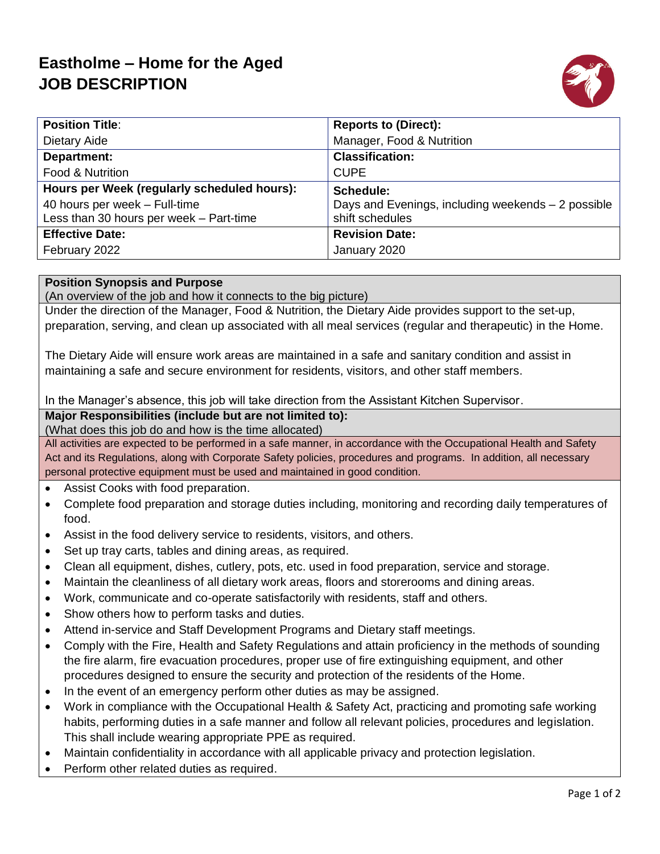# **Eastholme – Home for the Aged JOB DESCRIPTION**



| <b>Position Title:</b>                      | <b>Reports to (Direct):</b>                         |
|---------------------------------------------|-----------------------------------------------------|
| Dietary Aide                                | Manager, Food & Nutrition                           |
| <b>Department:</b>                          | <b>Classification:</b>                              |
| Food & Nutrition                            | <b>CUPE</b>                                         |
| Hours per Week (regularly scheduled hours): | Schedule:                                           |
| 40 hours per week - Full-time               | Days and Evenings, including weekends $-2$ possible |
| Less than 30 hours per week - Part-time     | shift schedules                                     |
| <b>Effective Date:</b>                      | <b>Revision Date:</b>                               |
| February 2022                               | January 2020                                        |

#### **Position Synopsis and Purpose**

(An overview of the job and how it connects to the big picture)

Under the direction of the Manager, Food & Nutrition, the Dietary Aide provides support to the set-up, preparation, serving, and clean up associated with all meal services (regular and therapeutic) in the Home.

The Dietary Aide will ensure work areas are maintained in a safe and sanitary condition and assist in maintaining a safe and secure environment for residents, visitors, and other staff members.

In the Manager's absence, this job will take direction from the Assistant Kitchen Supervisor.

### **Major Responsibilities (include but are not limited to):**

(What does this job do and how is the time allocated)

All activities are expected to be performed in a safe manner, in accordance with the Occupational Health and Safety Act and its Regulations, along with Corporate Safety policies, procedures and programs. In addition, all necessary personal protective equipment must be used and maintained in good condition.

- Assist Cooks with food preparation.
- Complete food preparation and storage duties including, monitoring and recording daily temperatures of food.
- Assist in the food delivery service to residents, visitors, and others.
- Set up tray carts, tables and dining areas, as required.
- Clean all equipment, dishes, cutlery, pots, etc. used in food preparation, service and storage.
- Maintain the cleanliness of all dietary work areas, floors and storerooms and dining areas.
- Work, communicate and co-operate satisfactorily with residents, staff and others.
- Show others how to perform tasks and duties.
- Attend in-service and Staff Development Programs and Dietary staff meetings.
- Comply with the Fire, Health and Safety Regulations and attain proficiency in the methods of sounding the fire alarm, fire evacuation procedures, proper use of fire extinguishing equipment, and other procedures designed to ensure the security and protection of the residents of the Home.
- In the event of an emergency perform other duties as may be assigned.
- Work in compliance with the Occupational Health & Safety Act, practicing and promoting safe working habits, performing duties in a safe manner and follow all relevant policies, procedures and legislation. This shall include wearing appropriate PPE as required.
- Maintain confidentiality in accordance with all applicable privacy and protection legislation.
- Perform other related duties as required.